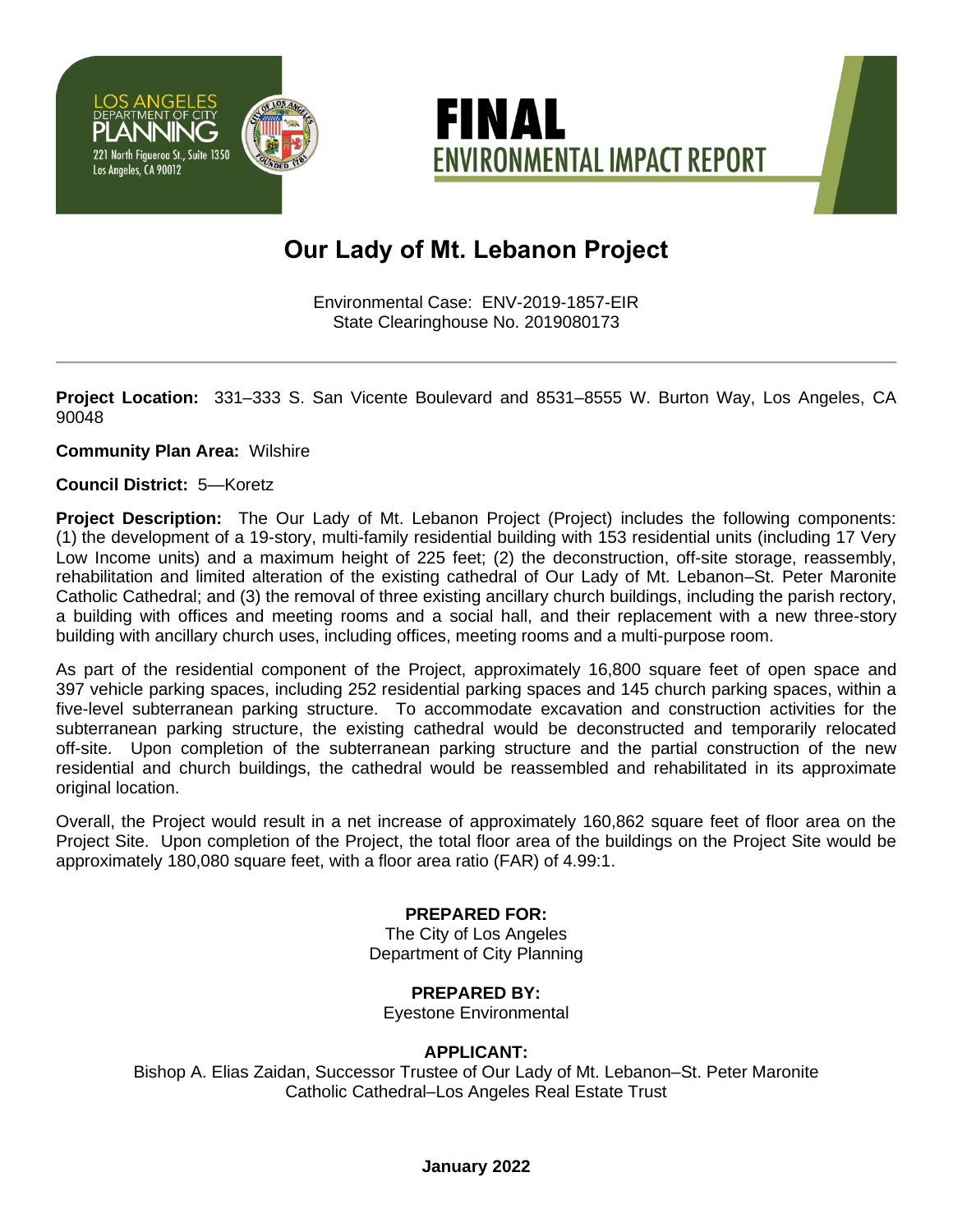



# **Our Lady of Mt. Lebanon Project**

Environmental Case: ENV-2019-1857-EIR State Clearinghouse No. 2019080173

**Project Location:** 331–333 S. San Vicente Boulevard and 8531–8555 W. Burton Way, Los Angeles, CA 90048

### **Community Plan Area:** Wilshire

#### **Council District:** 5—Koretz

**Project Description:** The Our Lady of Mt. Lebanon Project (Project) includes the following components: (1) the development of a 19-story, multi-family residential building with 153 residential units (including 17 Very Low Income units) and a maximum height of 225 feet; (2) the deconstruction, off-site storage, reassembly, rehabilitation and limited alteration of the existing cathedral of Our Lady of Mt. Lebanon–St. Peter Maronite Catholic Cathedral; and (3) the removal of three existing ancillary church buildings, including the parish rectory, a building with offices and meeting rooms and a social hall, and their replacement with a new three-story building with ancillary church uses, including offices, meeting rooms and a multi-purpose room.

As part of the residential component of the Project, approximately 16,800 square feet of open space and 397 vehicle parking spaces, including 252 residential parking spaces and 145 church parking spaces, within a five-level subterranean parking structure. To accommodate excavation and construction activities for the subterranean parking structure, the existing cathedral would be deconstructed and temporarily relocated off-site. Upon completion of the subterranean parking structure and the partial construction of the new residential and church buildings, the cathedral would be reassembled and rehabilitated in its approximate original location.

Overall, the Project would result in a net increase of approximately 160,862 square feet of floor area on the Project Site. Upon completion of the Project, the total floor area of the buildings on the Project Site would be approximately 180,080 square feet, with a floor area ratio (FAR) of 4.99:1.

### **PREPARED FOR:**

The City of Los Angeles Department of City Planning

## **PREPARED BY:**

Eyestone Environmental

### **APPLICANT:**

Bishop A. Elias Zaidan, Successor Trustee of Our Lady of Mt. Lebanon–St. Peter Maronite Catholic Cathedral–Los Angeles Real Estate Trust

#### **January 2022**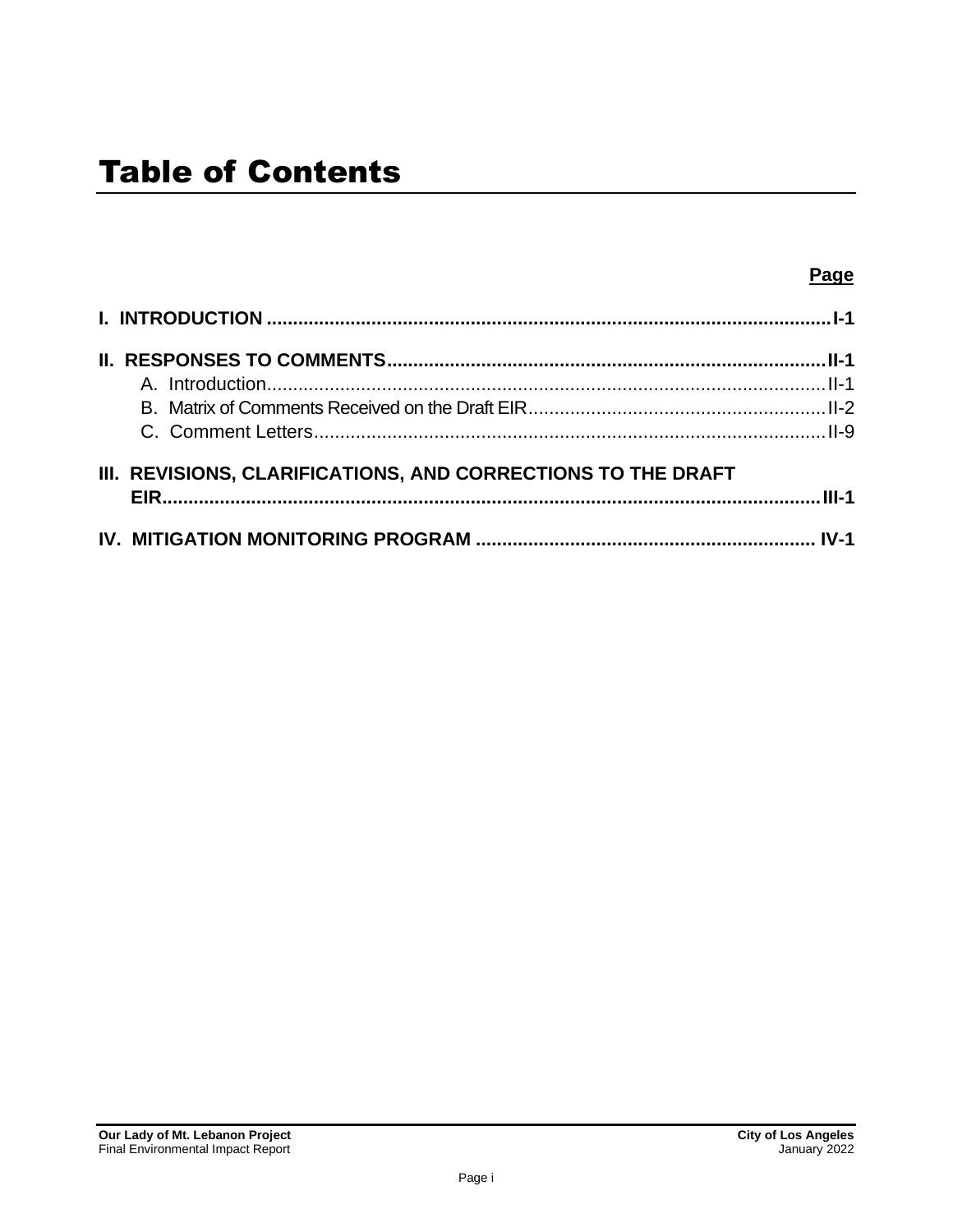| III. REVISIONS, CLARIFICATIONS, AND CORRECTIONS TO THE DRAFT |  |
|--------------------------------------------------------------|--|
|                                                              |  |
|                                                              |  |
|                                                              |  |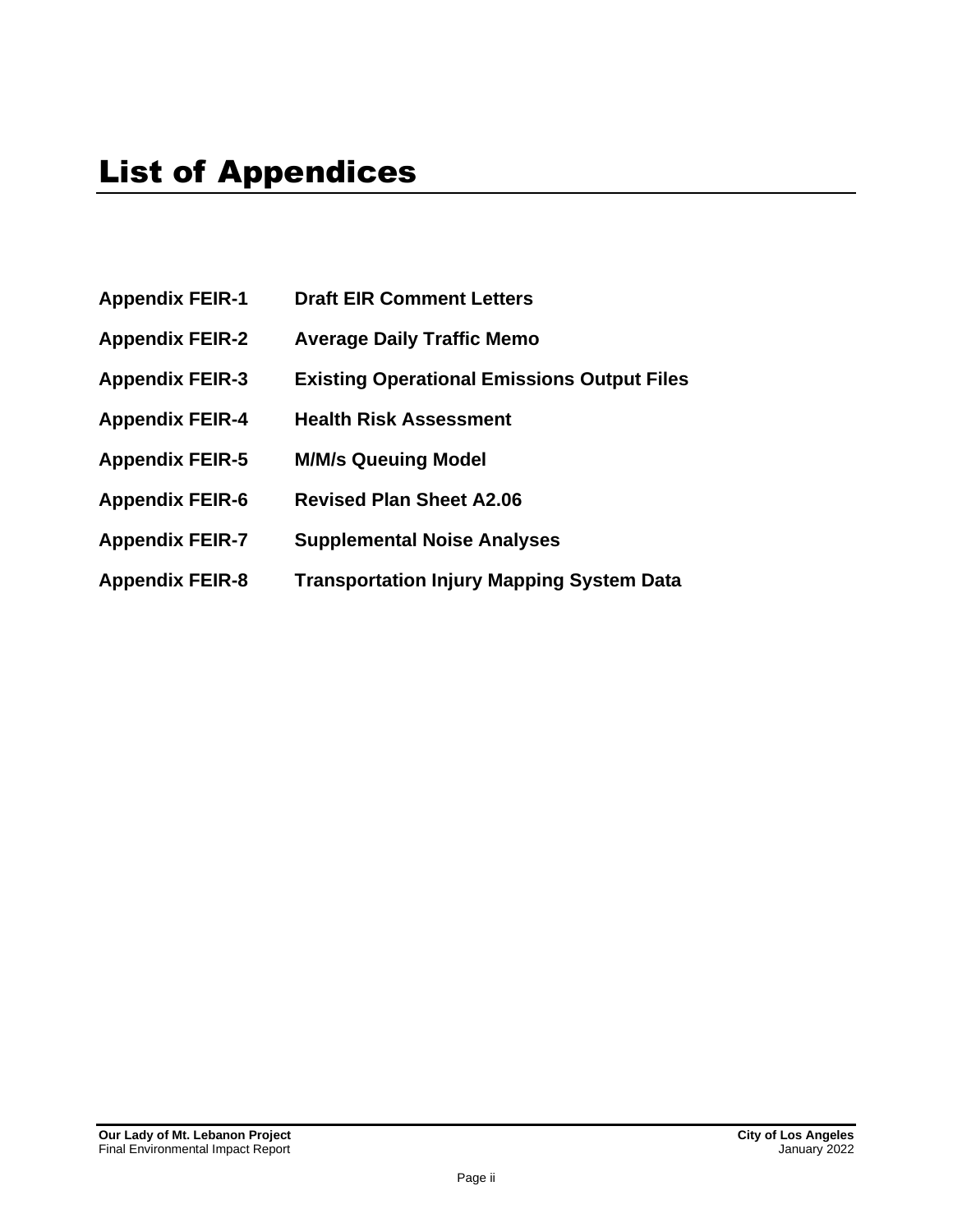- **Appendix FEIR-1 Draft EIR Comment Letters**
- **Appendix FEIR-2 Average Daily Traffic Memo**
- **Appendix FEIR-3 Existing Operational Emissions Output Files**
- **Appendix FEIR-4 Health Risk Assessment**
- **Appendix FEIR-5 M/M/s Queuing Model**
- **Appendix FEIR-6 Revised Plan Sheet A2.06**
- **Appendix FEIR-7 Supplemental Noise Analyses**
- **Appendix FEIR-8 Transportation Injury Mapping System Data**